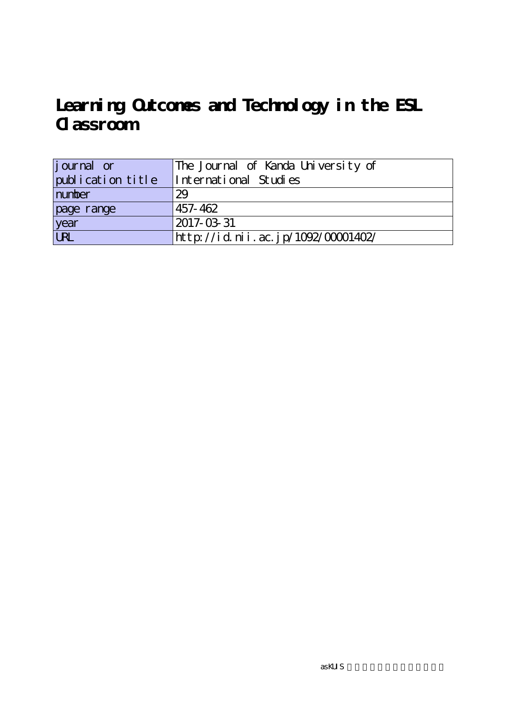# **Learning Outcomes and Technology in the ESL Classroom**

| <i>j</i> ournal or | The Journal of Kanda University of |
|--------------------|------------------------------------|
| publication title  | International Studies              |
| number             | 29                                 |
| page range         | 457-462                            |
| year               | 2017-03-31                         |
| URL                | http://id.nii.ac.jp/1092/00001402/ |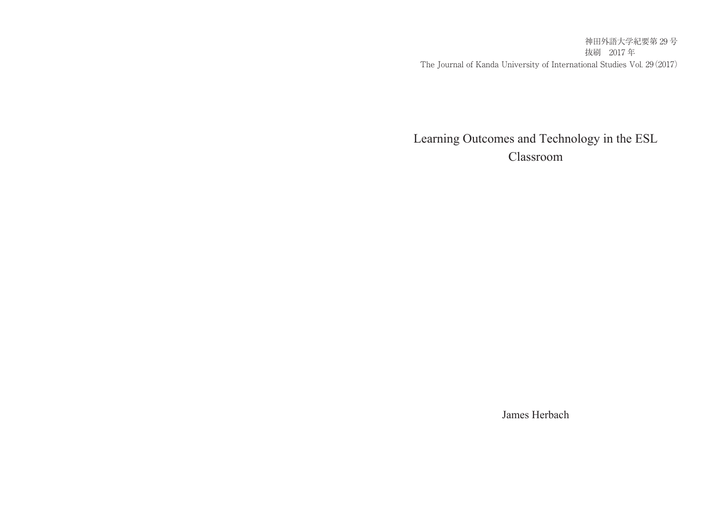神田外語大学紀要第 29 号 抜刷 2017 年 The Journal of Kanda University of International Studies Vol. 29(2017)

# Learning Outcomes and Technology in the ESL Classroom

James Herbach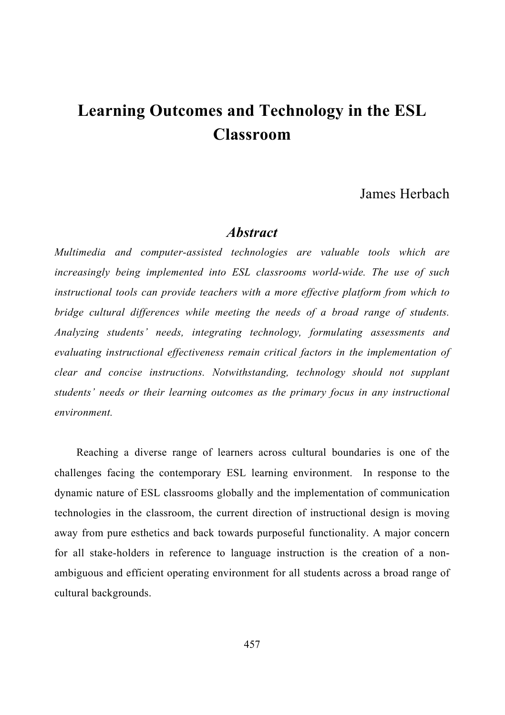# **Learning Outcomes and Technology in the ESL Classroom**

## James Herbach

### *Abstract*

*Multimedia and computer-assisted technologies are valuable tools which are increasingly being implemented into ESL classrooms world-wide. The use of such instructional tools can provide teachers with a more effective platform from which to bridge cultural differences while meeting the needs of a broad range of students. Analyzing students' needs, integrating technology, formulating assessments and evaluating instructional effectiveness remain critical factors in the implementation of clear and concise instructions. Notwithstanding, technology should not supplant students' needs or their learning outcomes as the primary focus in any instructional environment.* 

Reaching a diverse range of learners across cultural boundaries is one of the challenges facing the contemporary ESL learning environment. In response to the dynamic nature of ESL classrooms globally and the implementation of communication technologies in the classroom, the current direction of instructional design is moving away from pure esthetics and back towards purposeful functionality. A major concern for all stake-holders in reference to language instruction is the creation of a nonambiguous and efficient operating environment for all students across a broad range of cultural backgrounds.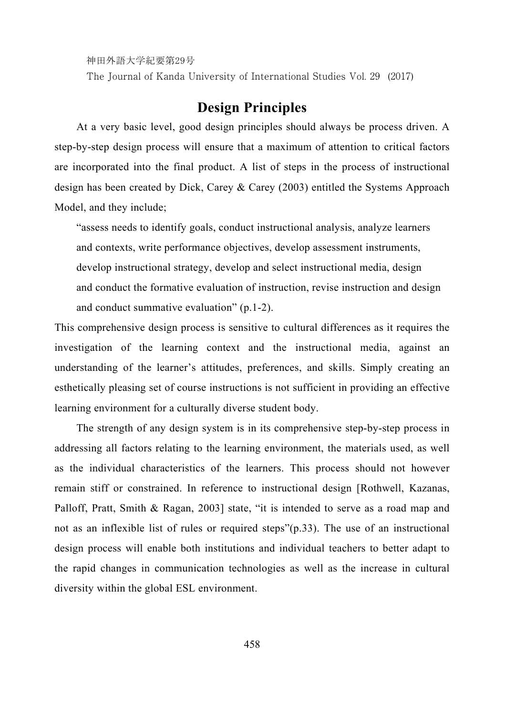神田外語大学紀要第29号

The Journal of Kanda University of International Studies Vol. 29 (2017)

# **Design Principles**

At a very basic level, good design principles should always be process driven. A step-by-step design process will ensure that a maximum of attention to critical factors are incorporated into the final product. A list of steps in the process of instructional design has been created by Dick, Carey & Carey (2003) entitled the Systems Approach Model, and they include;

"assess needs to identify goals, conduct instructional analysis, analyze learners and contexts, write performance objectives, develop assessment instruments, develop instructional strategy, develop and select instructional media, design and conduct the formative evaluation of instruction, revise instruction and design and conduct summative evaluation" (p.1-2).

This comprehensive design process is sensitive to cultural differences as it requires the investigation of the learning context and the instructional media, against an understanding of the learner's attitudes, preferences, and skills. Simply creating an esthetically pleasing set of course instructions is not sufficient in providing an effective learning environment for a culturally diverse student body.

The strength of any design system is in its comprehensive step-by-step process in addressing all factors relating to the learning environment, the materials used, as well as the individual characteristics of the learners. This process should not however remain stiff or constrained. In reference to instructional design [Rothwell, Kazanas, Palloff, Pratt, Smith & Ragan, 2003] state, "it is intended to serve as a road map and not as an inflexible list of rules or required steps"(p.33). The use of an instructional design process will enable both institutions and individual teachers to better adapt to the rapid changes in communication technologies as well as the increase in cultural diversity within the global ESL environment.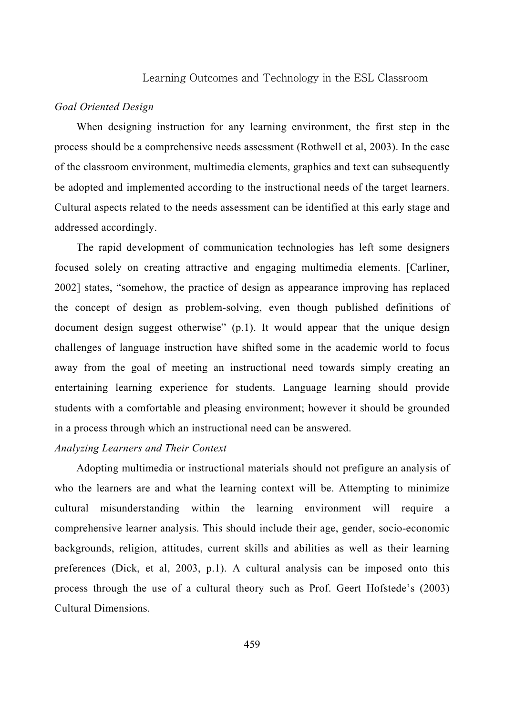#### Learning Outcomes and Technology in the ESL Classroom

#### *Goal Oriented Design*

When designing instruction for any learning environment, the first step in the process should be a comprehensive needs assessment (Rothwell et al, 2003). In the case of the classroom environment, multimedia elements, graphics and text can subsequently be adopted and implemented according to the instructional needs of the target learners. Cultural aspects related to the needs assessment can be identified at this early stage and addressed accordingly.

The rapid development of communication technologies has left some designers focused solely on creating attractive and engaging multimedia elements. [Carliner, 2002] states, "somehow, the practice of design as appearance improving has replaced the concept of design as problem-solving, even though published definitions of document design suggest otherwise" (p.1). It would appear that the unique design challenges of language instruction have shifted some in the academic world to focus away from the goal of meeting an instructional need towards simply creating an entertaining learning experience for students. Language learning should provide students with a comfortable and pleasing environment; however it should be grounded in a process through which an instructional need can be answered.

#### *Analyzing Learners and Their Context*

Adopting multimedia or instructional materials should not prefigure an analysis of who the learners are and what the learning context will be. Attempting to minimize cultural misunderstanding within the learning environment will require a comprehensive learner analysis. This should include their age, gender, socio-economic backgrounds, religion, attitudes, current skills and abilities as well as their learning preferences (Dick, et al, 2003, p.1). A cultural analysis can be imposed onto this process through the use of a cultural theory such as Prof. Geert Hofstede's (2003) Cultural Dimensions.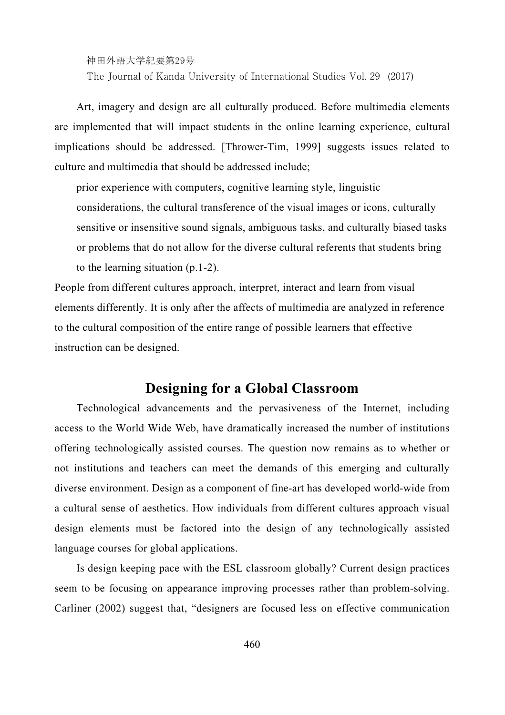神田外語大学紀要第29号

The Journal of Kanda University of International Studies Vol. 29 (2017)

Art, imagery and design are all culturally produced. Before multimedia elements are implemented that will impact students in the online learning experience, cultural implications should be addressed. [Thrower-Tim, 1999] suggests issues related to culture and multimedia that should be addressed include;

prior experience with computers, cognitive learning style, linguistic considerations, the cultural transference of the visual images or icons, culturally sensitive or insensitive sound signals, ambiguous tasks, and culturally biased tasks or problems that do not allow for the diverse cultural referents that students bring to the learning situation (p.1-2).

People from different cultures approach, interpret, interact and learn from visual elements differently. It is only after the affects of multimedia are analyzed in reference to the cultural composition of the entire range of possible learners that effective instruction can be designed.

# **Designing for a Global Classroom**

Technological advancements and the pervasiveness of the Internet, including access to the World Wide Web, have dramatically increased the number of institutions offering technologically assisted courses. The question now remains as to whether or not institutions and teachers can meet the demands of this emerging and culturally diverse environment. Design as a component of fine-art has developed world-wide from a cultural sense of aesthetics. How individuals from different cultures approach visual design elements must be factored into the design of any technologically assisted language courses for global applications.

Is design keeping pace with the ESL classroom globally? Current design practices seem to be focusing on appearance improving processes rather than problem-solving. Carliner (2002) suggest that, "designers are focused less on effective communication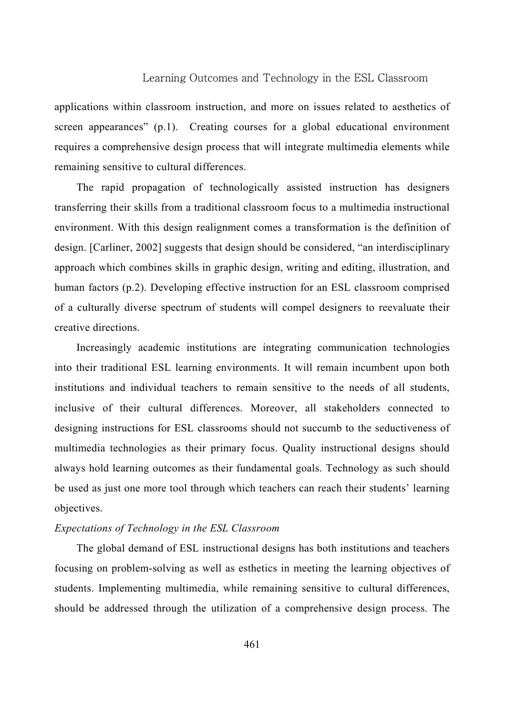#### Learning Outcomes and Technology in the ESL Classroom

applications within classroom instruction, and more on issues related to aesthetics of screen appearances" (p.1). Creating courses for a global educational environment requires a comprehensive design process that will integrate multimedia elements while remaining sensitive to cultural differences.

The rapid propagation of technologically assisted instruction has designers transferring their skills from a traditional classroom focus to a multimedia instructional environment. With this design realignment comes a transformation is the definition of design. [Carliner, 2002] suggests that design should be considered, "an interdisciplinary approach which combines skills in graphic design, writing and editing, illustration, and human factors (p.2). Developing effective instruction for an ESL classroom comprised of a culturally diverse spectrum of students will compel designers to reevaluate their creative directions.

Increasingly academic institutions are integrating communication technologies into their traditional ESL learning environments. It will remain incumbent upon both institutions and individual teachers to remain sensitive to the needs of all students, inclusive of their cultural differences. Moreover, all stakeholders connected to designing instructions for ESL classrooms should not succumb to the seductiveness of multimedia technologies as their primary focus. Quality instructional designs should always hold learning outcomes as their fundamental goals. Technology as such should be used as just one more tool through which teachers can reach their students' learning objectives.

#### *Expectations of Technology in the ESL Classroom*

The global demand of ESL instructional designs has both institutions and teachers focusing on problem-solving as well as esthetics in meeting the learning objectives of students. Implementing multimedia, while remaining sensitive to cultural differences, should be addressed through the utilization of a comprehensive design process. The